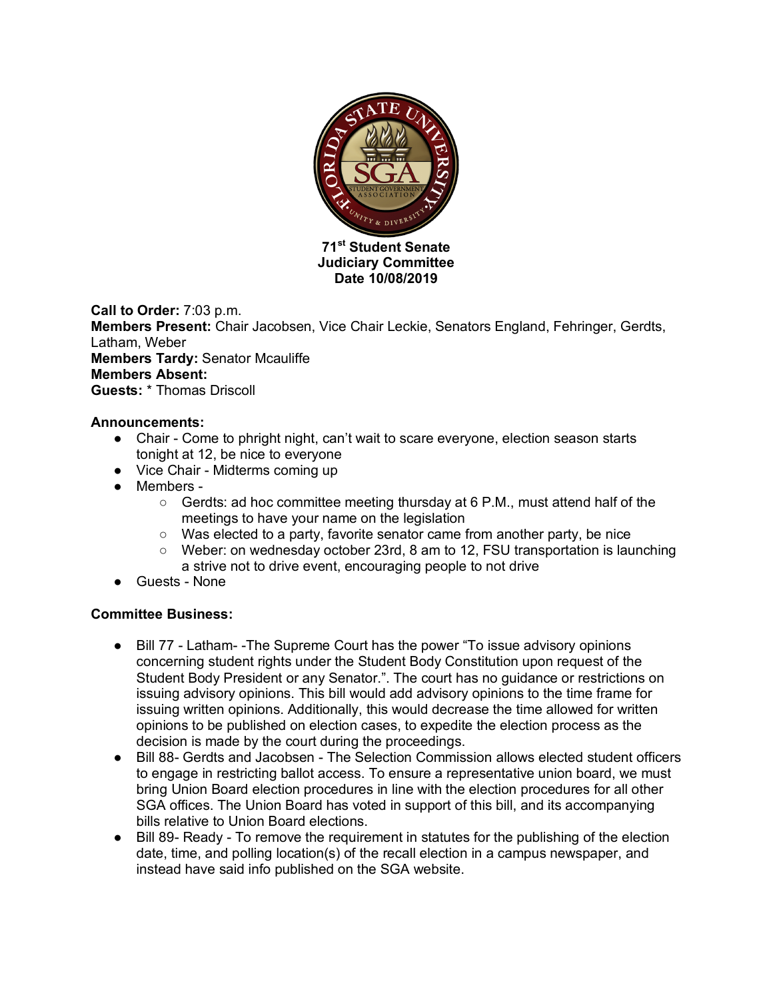

**Date 10/08/2019**

**Call to Order:** 7:03 p.m. **Members Present:** Chair Jacobsen, Vice Chair Leckie, Senators England, Fehringer, Gerdts, Latham, Weber **Members Tardy:** Senator Mcauliffe **Members Absent: Guests:** \* Thomas Driscoll

## **Announcements:**

- Chair Come to phright night, can't wait to scare everyone, election season starts tonight at 12, be nice to everyone
- Vice Chair Midterms coming up
- Members
	- $\circ$  Gerdts: ad hoc committee meeting thursday at 6 P.M., must attend half of the meetings to have your name on the legislation
	- Was elected to a party, favorite senator came from another party, be nice
	- Weber: on wednesday october 23rd, 8 am to 12, FSU transportation is launching a strive not to drive event, encouraging people to not drive
- Guests None

## **Committee Business:**

- Bill 77 Latham- -The Supreme Court has the power "To issue advisory opinions concerning student rights under the Student Body Constitution upon request of the Student Body President or any Senator.". The court has no guidance or restrictions on issuing advisory opinions. This bill would add advisory opinions to the time frame for issuing written opinions. Additionally, this would decrease the time allowed for written opinions to be published on election cases, to expedite the election process as the decision is made by the court during the proceedings.
- Bill 88- Gerdts and Jacobsen The Selection Commission allows elected student officers to engage in restricting ballot access. To ensure a representative union board, we must bring Union Board election procedures in line with the election procedures for all other SGA offices. The Union Board has voted in support of this bill, and its accompanying bills relative to Union Board elections.
- Bill 89- Ready To remove the requirement in statutes for the publishing of the election date, time, and polling location(s) of the recall election in a campus newspaper, and instead have said info published on the SGA website.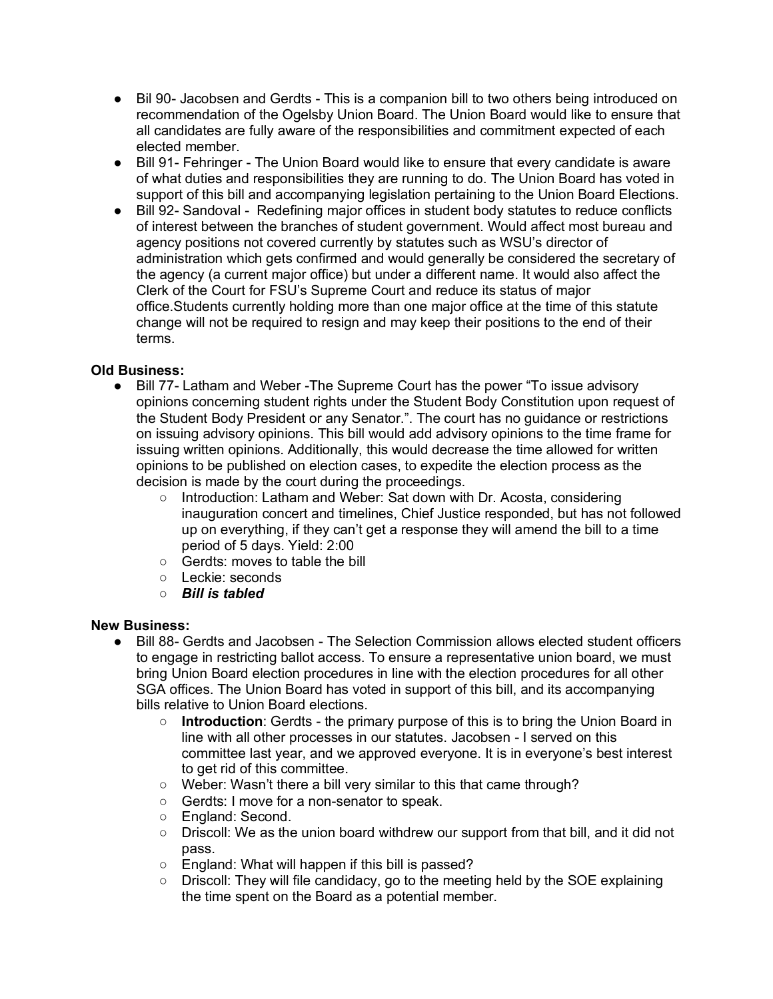- Bil 90- Jacobsen and Gerdts This is a companion bill to two others being introduced on recommendation of the Ogelsby Union Board. The Union Board would like to ensure that all candidates are fully aware of the responsibilities and commitment expected of each elected member.
- Bill 91- Fehringer The Union Board would like to ensure that every candidate is aware of what duties and responsibilities they are running to do. The Union Board has voted in support of this bill and accompanying legislation pertaining to the Union Board Elections.
- Bill 92- Sandoval Redefining major offices in student body statutes to reduce conflicts of interest between the branches of student government. Would affect most bureau and agency positions not covered currently by statutes such as WSU's director of administration which gets confirmed and would generally be considered the secretary of the agency (a current major office) but under a different name. It would also affect the Clerk of the Court for FSU's Supreme Court and reduce its status of major office.Students currently holding more than one major office at the time of this statute change will not be required to resign and may keep their positions to the end of their terms.

## **Old Business:**

- Bill 77- Latham and Weber -The Supreme Court has the power "To issue advisory opinions concerning student rights under the Student Body Constitution upon request of the Student Body President or any Senator.". The court has no guidance or restrictions on issuing advisory opinions. This bill would add advisory opinions to the time frame for issuing written opinions. Additionally, this would decrease the time allowed for written opinions to be published on election cases, to expedite the election process as the decision is made by the court during the proceedings.
	- Introduction: Latham and Weber: Sat down with Dr. Acosta, considering inauguration concert and timelines, Chief Justice responded, but has not followed up on everything, if they can't get a response they will amend the bill to a time period of 5 days. Yield: 2:00
	- Gerdts: moves to table the bill
	- Leckie: seconds
	- *Bill is tabled*

## **New Business:**

- Bill 88- Gerdts and Jacobsen The Selection Commission allows elected student officers to engage in restricting ballot access. To ensure a representative union board, we must bring Union Board election procedures in line with the election procedures for all other SGA offices. The Union Board has voted in support of this bill, and its accompanying bills relative to Union Board elections.
	- **Introduction**: Gerdts the primary purpose of this is to bring the Union Board in line with all other processes in our statutes. Jacobsen - I served on this committee last year, and we approved everyone. It is in everyone's best interest to get rid of this committee.
	- Weber: Wasn't there a bill very similar to this that came through?
	- Gerdts: I move for a non-senator to speak.
	- England: Second.
	- $\circ$  Driscoll: We as the union board withdrew our support from that bill, and it did not pass.
	- England: What will happen if this bill is passed?
	- Driscoll: They will file candidacy, go to the meeting held by the SOE explaining the time spent on the Board as a potential member.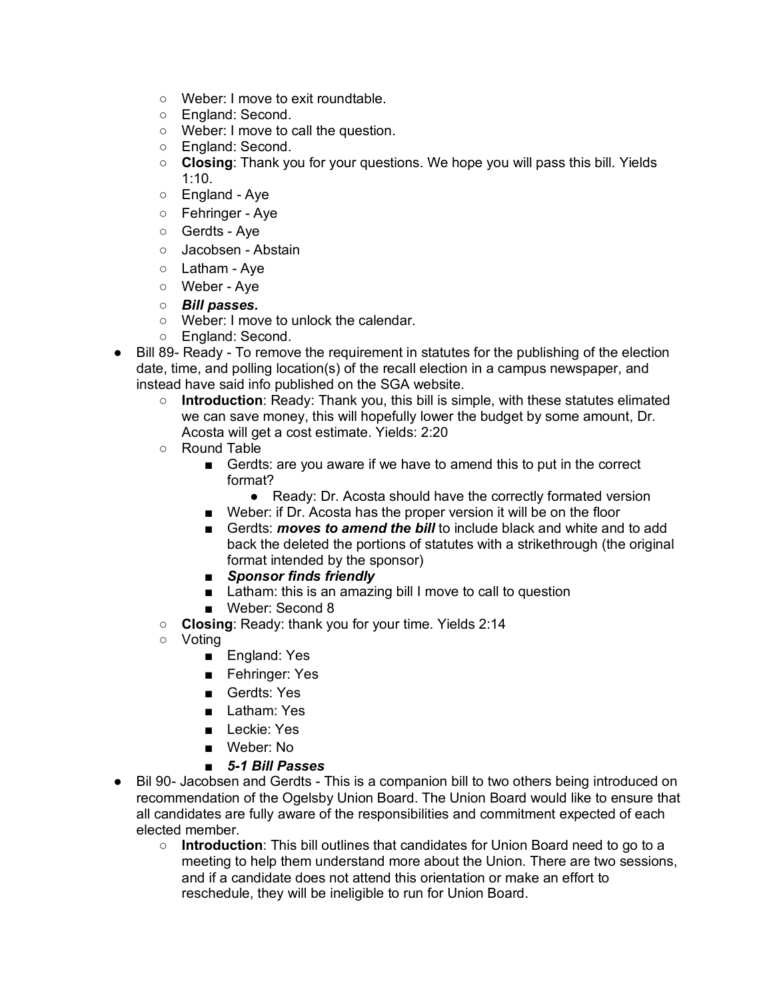- Weber: I move to exit roundtable.
- England: Second.
- Weber: I move to call the question.
- England: Second.
- **Closing**: Thank you for your questions. We hope you will pass this bill. Yields 1:10.
- England Aye
- Fehringer Aye
- Gerdts Aye
- Jacobsen Abstain
- Latham Aye
- Weber Aye
- *Bill passes.*
- Weber: I move to unlock the calendar.
- England: Second.
- Bill 89- Ready To remove the requirement in statutes for the publishing of the election date, time, and polling location(s) of the recall election in a campus newspaper, and instead have said info published on the SGA website.
	- **Introduction**: Ready: Thank you, this bill is simple, with these statutes elimated we can save money, this will hopefully lower the budget by some amount, Dr. Acosta will get a cost estimate. Yields: 2:20
	- Round Table
		- Gerdts: are you aware if we have to amend this to put in the correct format?
			- Ready: Dr. Acosta should have the correctly formated version
		- Weber: if Dr. Acosta has the proper version it will be on the floor
		- Gerdts: *moves to amend the bill* to include black and white and to add back the deleted the portions of statutes with a strikethrough (the original format intended by the sponsor)
		- *Sponsor finds friendly*
		- Latham: this is an amazing bill I move to call to question
		- Weber: Second 8
	- **Closing**: Ready: thank you for your time. Yields 2:14
	- Voting
		- England: Yes
		- Fehringer: Yes
		- Gerdts: Yes
		- Latham: Yes
		- Leckie: Yes
		- Weber: No
		- *5-1 Bill Passes*
- Bil 90- Jacobsen and Gerdts This is a companion bill to two others being introduced on recommendation of the Ogelsby Union Board. The Union Board would like to ensure that all candidates are fully aware of the responsibilities and commitment expected of each elected member.
	- **Introduction**: This bill outlines that candidates for Union Board need to go to a meeting to help them understand more about the Union. There are two sessions, and if a candidate does not attend this orientation or make an effort to reschedule, they will be ineligible to run for Union Board.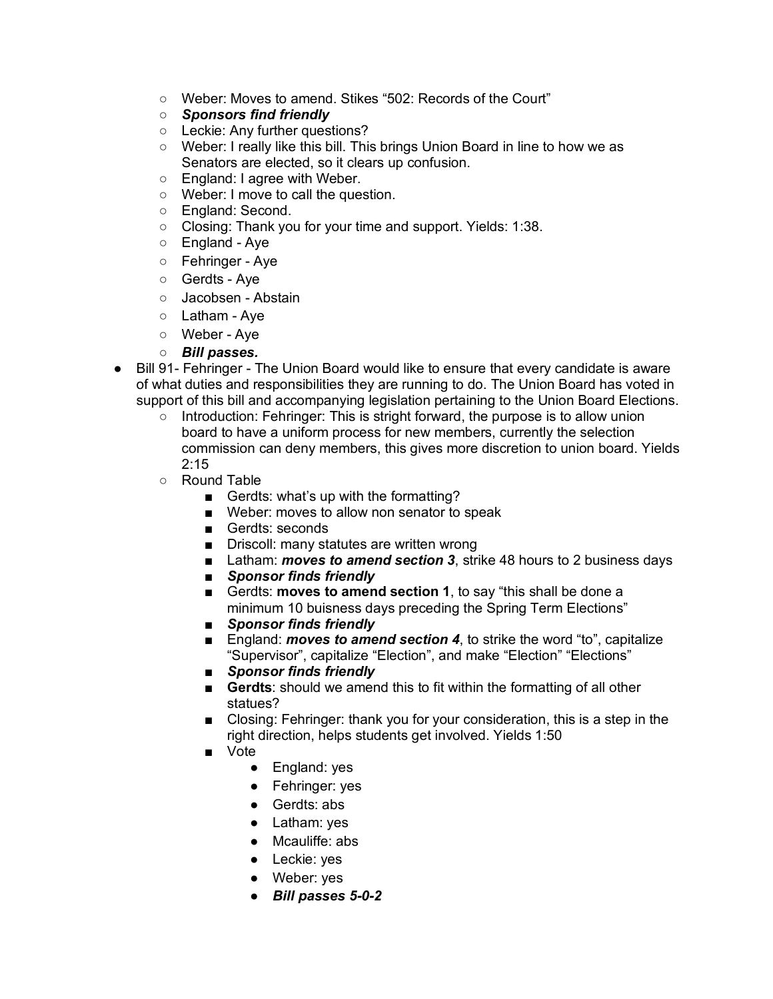- Weber: Moves to amend. Stikes "502: Records of the Court"
- *Sponsors find friendly*
- Leckie: Any further questions?
- Weber: I really like this bill. This brings Union Board in line to how we as Senators are elected, so it clears up confusion.
- England: I agree with Weber.
- Weber: I move to call the question.
- England: Second.
- Closing: Thank you for your time and support. Yields: 1:38.
- England Aye
- Fehringer Aye
- Gerdts Aye
- Jacobsen Abstain
- Latham Ave
- Weber Aye
- *Bill passes.*
- Bill 91- Fehringer The Union Board would like to ensure that every candidate is aware of what duties and responsibilities they are running to do. The Union Board has voted in support of this bill and accompanying legislation pertaining to the Union Board Elections.
	- Introduction: Fehringer: This is stright forward, the purpose is to allow union board to have a uniform process for new members, currently the selection commission can deny members, this gives more discretion to union board. Yields  $2:15$
	- Round Table
		- Gerdts: what's up with the formatting?
		- Weber: moves to allow non senator to speak
		- Gerdts: seconds
		- Driscoll: many statutes are written wrong
		- Latham: *moves to amend section 3*, strike 48 hours to 2 business days
		- *Sponsor finds friendly*
		- Gerdts: **moves to amend section 1**, to say "this shall be done a minimum 10 buisness days preceding the Spring Term Elections"
		- *Sponsor finds friendly*
		- England: *moves to amend section 4*, to strike the word "to", capitalize "Supervisor", capitalize "Election", and make "Election" "Elections"
		- *Sponsor finds friendly*
		- **Gerdts:** should we amend this to fit within the formatting of all other statues?
		- Closing: Fehringer: thank you for your consideration, this is a step in the right direction, helps students get involved. Yields 1:50
		- Vote
			- England: yes
			- Fehringer: yes
			- Gerdts: abs
			- Latham: yes
			- Mcauliffe: abs
			- Leckie: yes
			- Weber: yes
			- *Bill passes 5-0-2*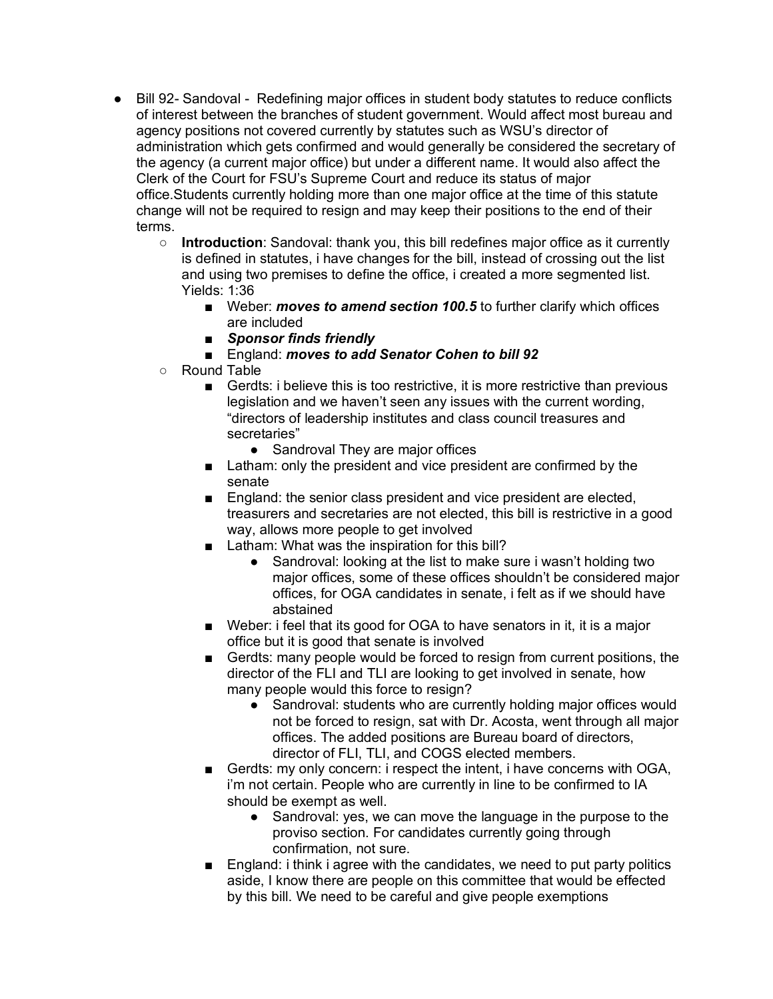- Bill 92- Sandoval Redefining major offices in student body statutes to reduce conflicts of interest between the branches of student government. Would affect most bureau and agency positions not covered currently by statutes such as WSU's director of administration which gets confirmed and would generally be considered the secretary of the agency (a current major office) but under a different name. It would also affect the Clerk of the Court for FSU's Supreme Court and reduce its status of major office.Students currently holding more than one major office at the time of this statute change will not be required to resign and may keep their positions to the end of their terms.
	- **Introduction**: Sandoval: thank you, this bill redefines major office as it currently is defined in statutes, i have changes for the bill, instead of crossing out the list and using two premises to define the office, i created a more segmented list. Yields: 1:36
		- Weber: *moves to amend section 100.5* to further clarify which offices are included
		- *Sponsor finds friendly*
		- England: *moves to add Senator Cohen to bill 92*
	- Round Table
		- Gerdts: i believe this is too restrictive, it is more restrictive than previous legislation and we haven't seen any issues with the current wording, "directors of leadership institutes and class council treasures and secretaries"
			- Sandroval They are major offices
		- Latham: only the president and vice president are confirmed by the senate
		- England: the senior class president and vice president are elected, treasurers and secretaries are not elected, this bill is restrictive in a good way, allows more people to get involved
		- Latham: What was the inspiration for this bill?
			- Sandroval: looking at the list to make sure i wasn't holding two major offices, some of these offices shouldn't be considered major offices, for OGA candidates in senate, i felt as if we should have abstained
		- Weber: i feel that its good for OGA to have senators in it, it is a major office but it is good that senate is involved
		- Gerdts: many people would be forced to resign from current positions, the director of the FLI and TLI are looking to get involved in senate, how many people would this force to resign?
			- Sandroval: students who are currently holding major offices would not be forced to resign, sat with Dr. Acosta, went through all major offices. The added positions are Bureau board of directors, director of FLI, TLI, and COGS elected members.
		- Gerdts: my only concern: i respect the intent, i have concerns with OGA, i'm not certain. People who are currently in line to be confirmed to IA should be exempt as well.
			- Sandroval: yes, we can move the language in the purpose to the proviso section. For candidates currently going through confirmation, not sure.
		- England: i think i agree with the candidates, we need to put party politics aside, I know there are people on this committee that would be effected by this bill. We need to be careful and give people exemptions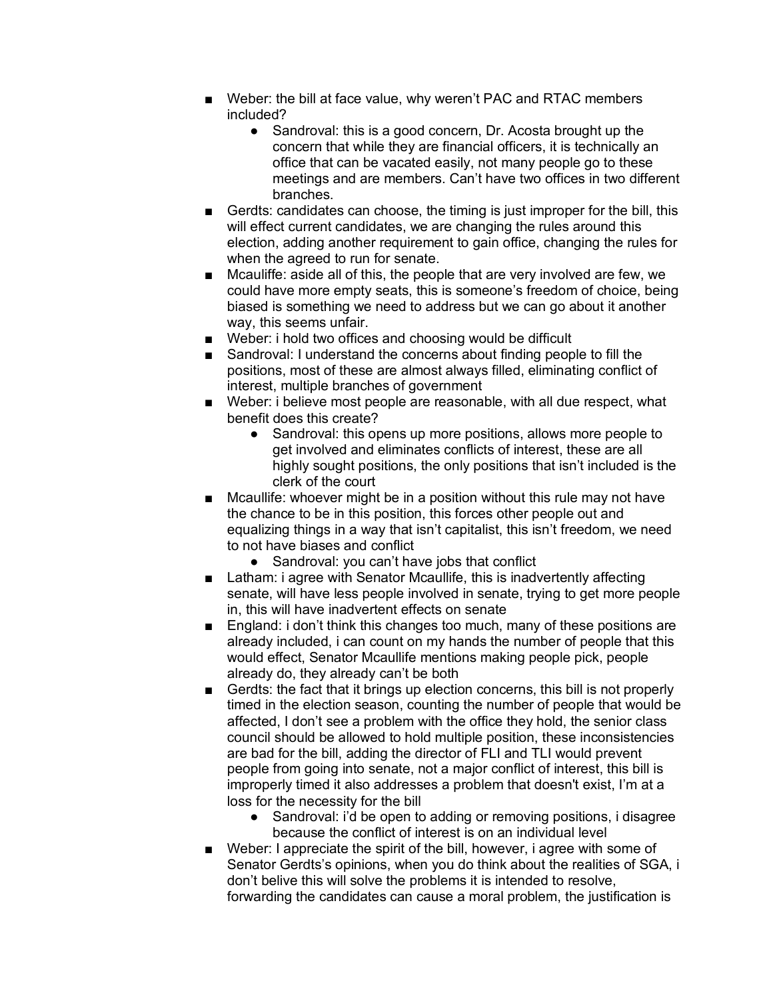- Weber: the bill at face value, why weren't PAC and RTAC members included?
	- Sandroval: this is a good concern, Dr. Acosta brought up the concern that while they are financial officers, it is technically an office that can be vacated easily, not many people go to these meetings and are members. Can't have two offices in two different branches.
- Gerdts: candidates can choose, the timing is just improper for the bill, this will effect current candidates, we are changing the rules around this election, adding another requirement to gain office, changing the rules for when the agreed to run for senate.
- Mcauliffe: aside all of this, the people that are very involved are few, we could have more empty seats, this is someone's freedom of choice, being biased is something we need to address but we can go about it another way, this seems unfair.
- Weber: i hold two offices and choosing would be difficult
- Sandroval: I understand the concerns about finding people to fill the positions, most of these are almost always filled, eliminating conflict of interest, multiple branches of government
- Weber: i believe most people are reasonable, with all due respect, what benefit does this create?
	- Sandroval: this opens up more positions, allows more people to get involved and eliminates conflicts of interest, these are all highly sought positions, the only positions that isn't included is the clerk of the court
- Mcaullife: whoever might be in a position without this rule may not have the chance to be in this position, this forces other people out and equalizing things in a way that isn't capitalist, this isn't freedom, we need to not have biases and conflict
	- Sandroval: you can't have jobs that conflict
- Latham: i agree with Senator Mcaullife, this is inadvertently affecting senate, will have less people involved in senate, trying to get more people in, this will have inadvertent effects on senate
- England: i don't think this changes too much, many of these positions are already included, i can count on my hands the number of people that this would effect, Senator Mcaullife mentions making people pick, people already do, they already can't be both
- Gerdts: the fact that it brings up election concerns, this bill is not properly timed in the election season, counting the number of people that would be affected, I don't see a problem with the office they hold, the senior class council should be allowed to hold multiple position, these inconsistencies are bad for the bill, adding the director of FLI and TLI would prevent people from going into senate, not a major conflict of interest, this bill is improperly timed it also addresses a problem that doesn't exist, I'm at a loss for the necessity for the bill
	- Sandroval: i'd be open to adding or removing positions, i disagree because the conflict of interest is on an individual level
- Weber: I appreciate the spirit of the bill, however, i agree with some of Senator Gerdts's opinions, when you do think about the realities of SGA, i don't belive this will solve the problems it is intended to resolve, forwarding the candidates can cause a moral problem, the justification is